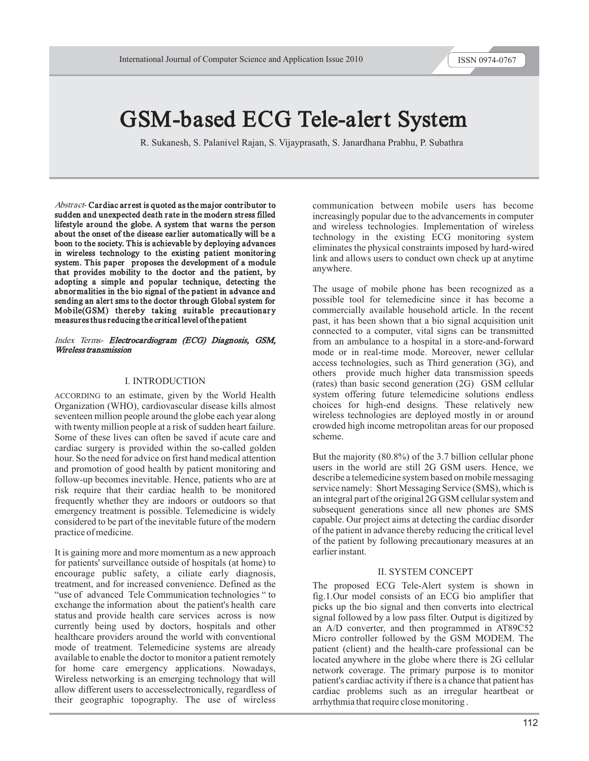# **GSM-based ECG Tele-alert System**

R. Sukanesh, S. Palanivel Rajan, S. Vijayprasath, S. Janardhana Prabhu, P. Subathra

Abstract- **Cardiac arrest is quoted asthe major contributor to sudden and unexpected death r ate in the modern stress filled lifestyle around the globe. A system that warns the person about the onset of the disease earlier automatically will be a boon to the society. This is achievable by deploying advances in wireless technology to the existing patient monitoring system. This paper proposes the development of a module that provides mobility to the doctor and the patient, by adopting a simple and popular technique, detecting the abnormalities in the bio signal of the patient in advance and sending an alert sms to the doctor through Global system for Mobile(GSM) ther eby taking suitable pr ecautionar y measuresthusreducing the critical level ofthe patient**

#### Index Terms- *Electrocardiogram (ECG) Diagnosis, GSM, Wirelesstransmission*

## I. INTRODUCTION

ACCORDING to an estimate, given by the World Health Organization (WHO), cardiovascular disease kills almost seventeen million people around the globe each year along with twenty million people at a risk of sudden heart failure. Some of these lives can often be saved if acute care and cardiac surgery is provided within the so-called golden hour. So the need for advice on first hand medical attention and promotion of good health by patient monitoring and follow-up becomes inevitable. Hence, patients who are at risk require that their cardiac health to be monitored frequently whether they are indoors or outdoors so that emergency treatment is possible. Telemedicine is widely considered to be part of the inevitable future of the modern practice of medicine.

It is gaining more and more momentum as a new approach for patients' surveillance outside of hospitals (at home) to encourage public safety, a ciliate early diagnosis, treatment, and for increased convenience. Defined as the "use of advanced Tele Communication technologies " to exchange the information about the patient's health care status and provide health care services across is now currently being used by doctors, hospitals and other healthcare providers around the world with conventional mode of treatment. Telemedicine systems are already available to enable the doctor to monitor a patient remotely for home care emergency applications. Nowadays, Wireless networking is an emerging technology that will allow different users to accesselectronically, regardless of their geographic topography. The use of wireless

communication between mobile users has become increasingly popular due to the advancements in computer and wireless technologies. Implementation of wireless technology in the existing ECG monitoring system eliminates the physical constraints imposed by hard-wired link and allows users to conduct own check up at anytime anywhere.

The usage of mobile phone has been recognized as a possible tool for telemedicine since it has become a commercially available household article. In the recent past, it has been shown that a bio signal acquisition unit connected to a computer, vital signs can be transmitted from an ambulance to a hospital in a store-and-forward mode or in real-time mode. Moreover, newer cellular access technologies, such as Third generation (3G), and others provide much higher data transmission speeds (rates) than basic second generation (2G) GSM cellular system offering future telemedicine solutions endless choices for high-end designs. These relatively new wireless technologies are deployed mostly in or around crowded high income metropolitan areas for our proposed scheme.

But the majority (80.8%) of the 3.7 billion cellular phone users in the world are still 2G GSM users. Hence, we describe a telemedicine system based on mobile messaging service namely: Short Messaging Service (SMS), which is an integral part of the original 2G GSM cellular system and subsequent generations since all new phones are SMS capable. Our project aims at detecting the cardiac disorder of the patient in advance thereby reducing the critical level of the patient by following precautionary measures at an earlier instant.

## II. SYSTEM CONCEPT

The proposed ECG Tele-Alert system is shown in fig.1.Our model consists of an ECG bio amplifier that picks up the bio signal and then converts into electrical signal followed by a low pass filter. Output is digitized by an A/D converter, and then programmed in AT89C52 Micro controller followed by the GSM MODEM. The patient (client) and the health-care professional can be located anywhere in the globe where there is 2G cellular network coverage. The primary purpose is to monitor patient's cardiac activity if there is a chance that patient has cardiac problems such as an irregular heartbeat or arrhythmia that require close monitoring .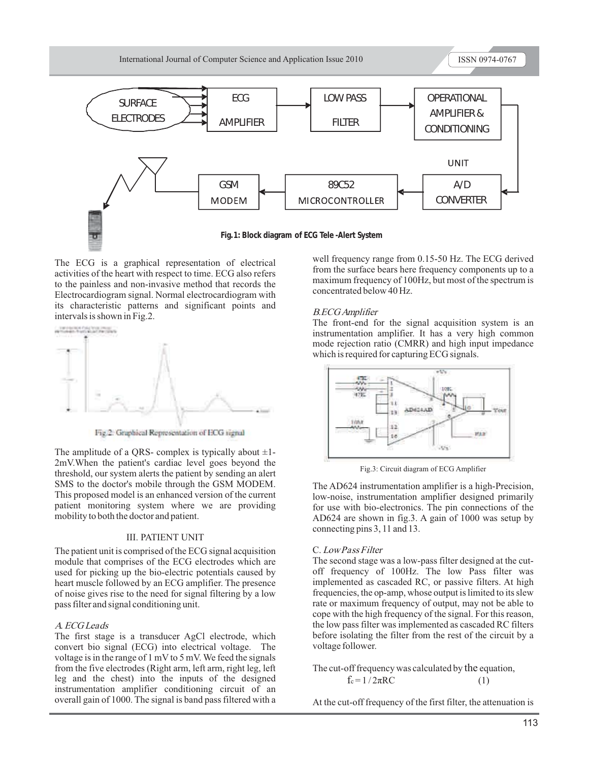

**Fig.1: Block diagram of ECG Tele -Alert System**

The ECG is a graphical representation of electrical activities of the heart with respect to time. ECG also refers to the painless and non-invasive method that records the Electrocardiogram signal. Normal electrocardiogram with its characteristic patterns and significant points and intervals is shown in Fig.2.



Fig.2: Graphical Representation of ECG signal

The amplitude of a QRS- complex is typically about  $\pm 1$ -2mV.When the patient's cardiac level goes beyond the threshold, our system alerts the patient by sending an alert SMS to the doctor's mobile through the GSM MODEM. This proposed model is an enhanced version of the current patient monitoring system where we are providing mobility to both the doctor and patient.

## III. PATIENT UNIT

The patient unit is comprised of the ECG signal acquisition module that comprises of the ECG electrodes which are used for picking up the bio-electric potentials caused by heart muscle followed by an ECG amplifier. The presence of noise gives rise to the need for signal filtering by a low pass filter and signal conditioning unit.

## A. ECG Leads

The first stage is a transducer AgCl electrode, which convert bio signal (ECG) into electrical voltage. The voltage is in the range of 1 mV to 5 mV. We feed the signals from the five electrodes (Right arm, left arm, right leg, left leg and the chest) into the inputs of the designed instrumentation amplifier conditioning circuit of an overall gain of 1000. The signal is band pass filtered with a

well frequency range from 0.15-50 Hz. The ECG derived from the surface bears here frequency components up to a maximum frequency of 100Hz, but most of the spectrum is concentrated below 40 Hz.

# B.ECG Amplifier

The front-end for the signal acquisition system is an instrumentation amplifier. It has a very high common mode rejection ratio (CMRR) and high input impedance which is required for capturing ECG signals.



Fig.3: Circuit diagram of ECG Amplifier

The AD624 instrumentation amplifier is a high-Precision, low-noise, instrumentation amplifier designed primarily for use with bio-electronics. The pin connections of the AD624 are shown in fig.3. A gain of 1000 was setup by connecting pins 3, 11 and 13.

# C.LowPass Filter

The second stage was a low-pass filter designed at the cutoff frequency of 100Hz. The low Pass filter was implemented as cascaded RC, or passive filters. At high frequencies, the op-amp, whose output is limited to its slew rate or maximum frequency of output, may not be able to cope with the high frequency of the signal. For this reason, the low pass filter was implemented as cascaded RC filters before isolating the filter from the rest of the circuit by a voltage follower.

The cut-off frequency was calculated by the equation,  $f_c = 1 / 2 \pi RC$  (1)

At the cut-off frequency of the first filter, the attenuation is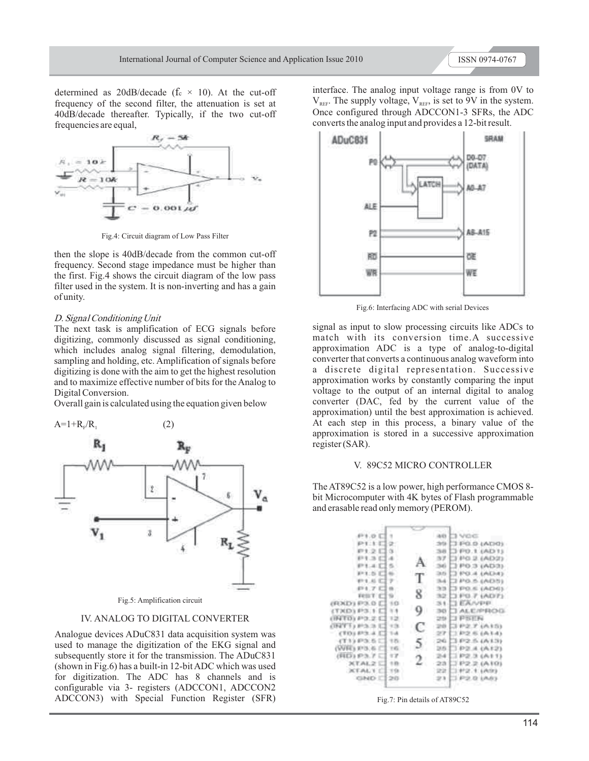determined as 20dB/decade ( $fc \times 10$ ). At the cut-off frequency of the second filter, the attenuation is set at 40dB/decade thereafter. Typically, if the two cut-off frequencies are equal,



Fig.4: Circuit diagram of Low Pass Filter

then the slope is 40dB/decade from the common cut-off frequency. Second stage impedance must be higher than the first. Fig.4 shows the circuit diagram of the low pass filter used in the system. It is non-inverting and has a gain of unity.

#### D. Signal Conditioning Unit

The next task is amplification of ECG signals before digitizing, commonly discussed as signal conditioning, which includes analog signal filtering, demodulation, sampling and holding, etc. Amplification of signals before digitizing is done with the aim to get the highest resolution and to maximize effective number of bits for the Analog to Digital Conversion.

Overall gain is calculated using the equation given below



Fig.5: Amplification circuit

#### IV. ANALOG TO DIGITAL CONVERTER

Analogue devices ADuC831 data acquisition system was used to manage the digitization of the EKG signal and subsequently store it for the transmission. The ADuC831 (shown in Fig.6) has a built-in 12-bit ADC which was used for digitization. The ADC has 8 channels and is configurable via 3- registers (ADCCON1, ADCCON2 ADCCON3) with Special Function Register (SFR) interface. The analog input voltage range is from 0V to  $V_{REF}$ . The supply voltage,  $V_{REF}$  is set to 9V in the system. Once configured through ADCCON1-3 SFRs, the ADC converts the analog input and provides a 12-bit result.



Fig.6: Interfacing ADC with serial Devices

signal as input to slow processing circuits like ADCs to match with its conversion time.A successive approximation ADC is a type of analog-to-digital converter that converts a continuous analog waveform into a discrete digital representation. Successive approximation works by constantly comparing the input voltage to the output of an internal digital to analog converter (DAC, fed by the current value of the approximation) until the best approximation is achieved. At each step in this process, a binary value of the approximation is stored in a successive approximation register (SAR).

## V. 89C52 MICRO CONTROLLER

The AT89C52 is a low power, high performance CMOS 8 bit Microcomputer with 4K bytes of Flash programmable and erasable read only memory (PEROM).



Fig.7: Pin details of AT89C52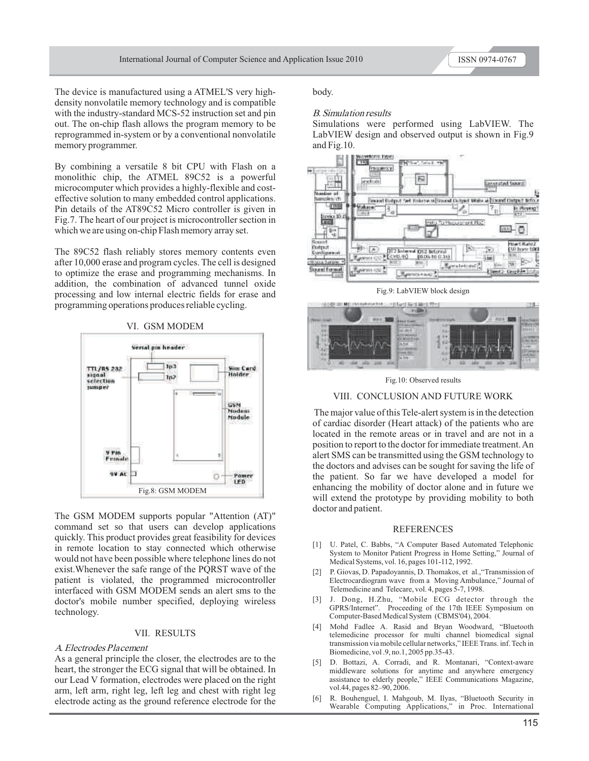The device is manufactured using a ATMEL'S very highdensity nonvolatile memory technology and is compatible with the industry-standard MCS-52 instruction set and pin out. The on-chip flash allows the program memory to be reprogrammed in-system or by a conventional nonvolatile memory programmer.

By combining a versatile 8 bit CPU with Flash on a monolithic chip, the ATMEL 89C52 is a powerful microcomputer which provides a highly-flexible and costeffective solution to many embedded control applications. Pin details of the AT89C52 Micro controller is given in Fig.7. The heart of our project is microcontroller section in which we are using on-chip Flash memory array set.

The 89C52 flash reliably stores memory contents even after 10,000 erase and program cycles. The cell is designed to optimize the erase and programming mechanisms. In addition, the combination of advanced tunnel oxide processing and low internal electric fields for erase and programming operations produces reliable cycling.



VI. GSM MODEM

The GSM MODEM supports popular "Attention (AT)" command set so that users can develop applications quickly. This product provides great feasibility for devices in remote location to stay connected which otherwise would not have been possible where telephone lines do not exist.Whenever the safe range of the PQRST wave of the patient is violated, the programmed microcontroller interfaced with GSM MODEM sends an alert sms to the doctor's mobile number specified, deploying wireless technology.

## VII. RESULTS

## A. Electrodes Placement

As a general principle the closer, the electrodes are to the heart, the stronger the ECG signal that will be obtained. In our Lead V formation, electrodes were placed on the right arm, left arm, right leg, left leg and chest with right leg electrode acting as the ground reference electrode for the body.

## B. Simulation results

Simulations were performed using LabVIEW. The LabVIEW design and observed output is shown in Fig.9 and Fig.10.



Fig.9: LabVIEW block design





## VIII. CONCLUSION AND FUTURE WORK

The major value of this Tele-alert system is in the detection of cardiac disorder (Heart attack) of the patients who are located in the remote areas or in travel and are not in a position to report to the doctor for immediate treatment.An alert SMS can be transmitted using the GSM technology to the doctors and advises can be sought for saving the life of the patient. So far we have developed a model for enhancing the mobility of doctor alone and in future we will extend the prototype by providing mobility to both doctor and patient.

#### REFERENCES

- [1] U. Patel, C. Babbs, "A Computer Based Automated Telephonic System to Monitor Patient Progress in Home Setting," Journal of Medical Systems, vol. 16, pages 101-112, 1992.
- [2] P. Giovas, D. Papadoyannis, D. Thomakos, et al.,"Transmission of Electrocardiogram wave from a Moving Ambulance," Journal of Telemedicine and Telecare, vol. 4, pages 5-7, 1998.
- [3] J. Dong, H.Zhu, "Mobile ECG detector through the GPRS/Internet". Proceeding of the 17th IEEE Symposium on Computer-Based Medical System (CBMS'04), 2004.
- [4] Mohd Fadlee A. Rasid and Bryan Woodward, "Bluetooth telemedicine processor for multi channel biomedical signal transmission via mobile cellular networks," IEEE Trans. inf. Tech in Biomedicine, vol .9, no.1, 2005 pp.35-43.
- [5] D. Bottazi, A. Corradi, and R. Montanari, "Context-aware middleware solutions for anytime and anywhere emergency assistance to elderly people," IEEE Communications Magazine, vol.44, pages 82–90, 2006.
- [6] R. Bouhenguel, I. Mahgoub, M. Ilyas, "Bluetooth Security in Wearable Computing Applications," in Proc. International